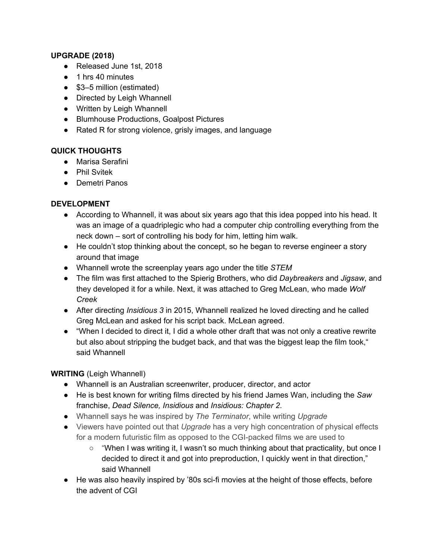#### **UPGRADE (2018)**

- Released June 1st, 2018
- 1 hrs 40 minutes
- \$3–5 million (estimated)
- Directed by Leigh Whannell
- Written by Leigh Whannell
- Blumhouse Productions, Goalpost Pictures
- Rated R for strong violence, grisly images, and language

#### **QUICK THOUGHTS**

- Marisa Serafini
- Phil Svitek
- Demetri Panos

#### **DEVELOPMENT**

- According to Whannell, it was about six years ago that this idea popped into his head. It was an image of a quadriplegic who had a computer chip controlling everything from the neck down – sort of controlling his body for him, letting him walk.
- He couldn't stop thinking about the concept, so he began to reverse engineer a story around that image
- Whannell wrote the screenplay years ago under the title *STEM*
- The film was first attached to the Spierig Brothers, who did *Daybreakers* and *Jigsaw*, and they developed it for a while. Next, it was attached to Greg McLean, who made *Wolf Creek*
- After directing *Insidious 3* in 2015, Whannell realized he loved directing and he called Greg McLean and asked for his script back. McLean agreed.
- "When I decided to direct it, I did a whole other draft that was not only a creative rewrite but also about stripping the budget back, and that was the biggest leap the film took," said Whannell

#### **WRITING** (Leigh Whannell)

- Whannell is an Australian screenwriter, producer, director, and actor
- He is best known for writing films directed by his friend James Wan, including the *Saw* franchise, *Dead Silence, Insidious* and *Insidious: Chapter 2*.
- Whannell says he was inspired by *The Terminator*, while writing *Upgrade*
- Viewers have pointed out that *Upgrade* has a very high concentration of physical effects for a modern futuristic film as opposed to the CGI-packed films we are used to
	- $\circ$  "When I was writing it, I wasn't so much thinking about that practicality, but once I decided to direct it and got into preproduction, I quickly went in that direction," said Whannell
- He was also heavily inspired by '80s sci-fi movies at the height of those effects, before the advent of CGI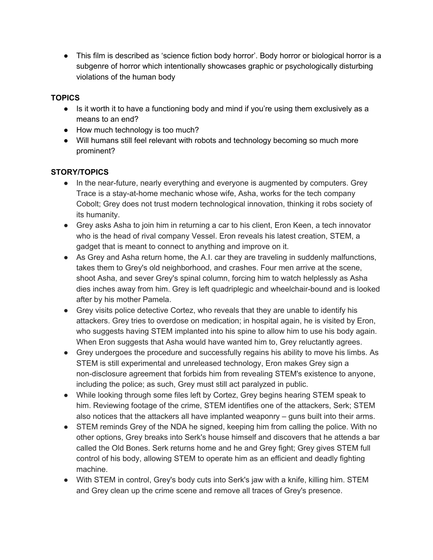• This film is described as 'science fiction body horror'. Body horror or biological horror is a subgenre of horror which intentionally showcases graphic or psychologically disturbing violations of the human body

### **TOPICS**

- Is it worth it to have a functioning body and mind if you're using them exclusively as a means to an end?
- How much technology is too much?
- Will humans still feel relevant with robots and technology becoming so much more prominent?

## **STORY/TOPICS**

- In the near-future, nearly everything and everyone is augmented by computers. Grey Trace is a stay-at-home mechanic whose wife, Asha, works for the tech company Cobolt; Grey does not trust modern technological innovation, thinking it robs society of its humanity.
- Grey asks Asha to join him in returning a car to his client, Eron Keen, a tech innovator who is the head of rival company Vessel. Eron reveals his latest creation, STEM, a gadget that is meant to connect to anything and improve on it.
- As Grey and Asha return home, the A.I. car they are traveling in suddenly malfunctions, takes them to Grey's old neighborhood, and crashes. Four men arrive at the scene, shoot Asha, and sever Grey's spinal column, forcing him to watch helplessly as Asha dies inches away from him. Grey is left quadriplegic and wheelchair-bound and is looked after by his mother Pamela.
- Grey visits police detective Cortez, who reveals that they are unable to identify his attackers. Grey tries to overdose on medication; in hospital again, he is visited by Eron, who suggests having STEM implanted into his spine to allow him to use his body again. When Eron suggests that Asha would have wanted him to, Grey reluctantly agrees.
- Grey undergoes the procedure and successfully regains his ability to move his limbs. As STEM is still experimental and unreleased technology, Eron makes Grey sign a non-disclosure agreement that forbids him from revealing STEM's existence to anyone, including the police; as such, Grey must still act paralyzed in public.
- While looking through some files left by Cortez, Grey begins hearing STEM speak to him. Reviewing footage of the crime, STEM identifies one of the attackers, Serk; STEM also notices that the attackers all have implanted weaponry – guns built into their arms.
- STEM reminds Grey of the NDA he signed, keeping him from calling the police. With no other options, Grey breaks into Serk's house himself and discovers that he attends a bar called the Old Bones. Serk returns home and he and Grey fight; Grey gives STEM full control of his body, allowing STEM to operate him as an efficient and deadly fighting machine.
- With STEM in control, Grey's body cuts into Serk's jaw with a knife, killing him. STEM and Grey clean up the crime scene and remove all traces of Grey's presence.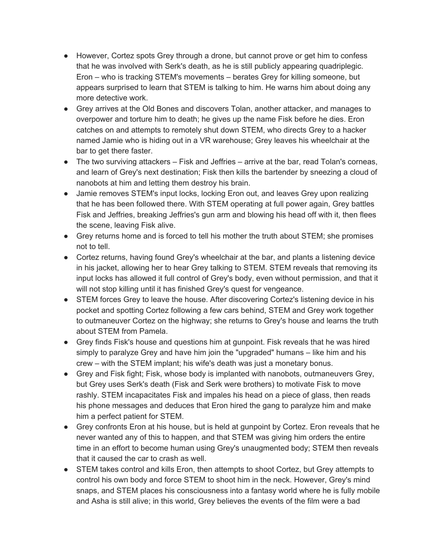- However, Cortez spots Grey through a drone, but cannot prove or get him to confess that he was involved with Serk's death, as he is still publicly appearing quadriplegic. Eron – who is tracking STEM's movements – berates Grey for killing someone, but appears surprised to learn that STEM is talking to him. He warns him about doing any more detective work.
- Grey arrives at the Old Bones and discovers Tolan, another attacker, and manages to overpower and torture him to death; he gives up the name Fisk before he dies. Eron catches on and attempts to remotely shut down STEM, who directs Grey to a hacker named Jamie who is hiding out in a VR warehouse; Grey leaves his wheelchair at the bar to get there faster.
- $\bullet$  The two surviving attackers  $-$  Fisk and Jeffries  $-$  arrive at the bar, read Tolan's corneas, and learn of Grey's next destination; Fisk then kills the bartender by sneezing a cloud of nanobots at him and letting them destroy his brain.
- Jamie removes STEM's input locks, locking Eron out, and leaves Grey upon realizing that he has been followed there. With STEM operating at full power again, Grey battles Fisk and Jeffries, breaking Jeffries's gun arm and blowing his head off with it, then flees the scene, leaving Fisk alive.
- Grey returns home and is forced to tell his mother the truth about STEM; she promises not to tell.
- Cortez returns, having found Grey's wheelchair at the bar, and plants a listening device in his jacket, allowing her to hear Grey talking to STEM. STEM reveals that removing its input locks has allowed it full control of Grey's body, even without permission, and that it will not stop killing until it has finished Grey's quest for vengeance.
- STEM forces Grey to leave the house. After discovering Cortez's listening device in his pocket and spotting Cortez following a few cars behind, STEM and Grey work together to outmaneuver Cortez on the highway; she returns to Grey's house and learns the truth about STEM from Pamela.
- Grey finds Fisk's house and questions him at gunpoint. Fisk reveals that he was hired simply to paralyze Grey and have him join the "upgraded" humans – like him and his crew – with the STEM implant; his wife's death was just a monetary bonus.
- Grey and Fisk fight; Fisk, whose body is implanted with nanobots, outmaneuvers Grey, but Grey uses Serk's death (Fisk and Serk were brothers) to motivate Fisk to move rashly. STEM incapacitates Fisk and impales his head on a piece of glass, then reads his phone messages and deduces that Eron hired the gang to paralyze him and make him a perfect patient for STEM.
- Grey confronts Eron at his house, but is held at gunpoint by Cortez. Eron reveals that he never wanted any of this to happen, and that STEM was giving him orders the entire time in an effort to become human using Grey's unaugmented body; STEM then reveals that it caused the car to crash as well.
- STEM takes control and kills Eron, then attempts to shoot Cortez, but Grey attempts to control his own body and force STEM to shoot him in the neck. However, Grey's mind snaps, and STEM places his consciousness into a fantasy world where he is fully mobile and Asha is still alive; in this world, Grey believes the events of the film were a bad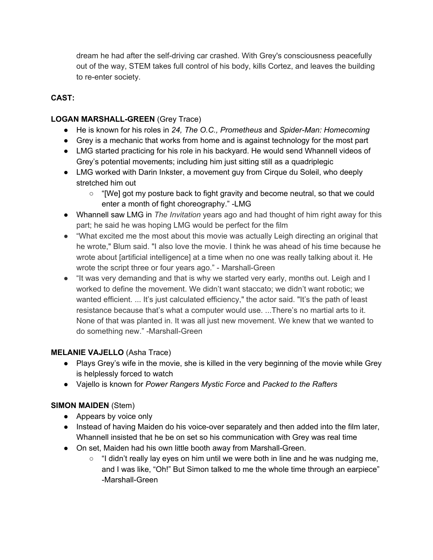dream he had after the self-driving car crashed. With Grey's consciousness peacefully out of the way, STEM takes full control of his body, kills Cortez, and leaves the building to re-enter society.

## **CAST:**

### **LOGAN MARSHALL-GREEN** (Grey Trace)

- He is known for his roles in *24, The O.C., Prometheus* and *Spider-Man: Homecoming*
- Grey is a mechanic that works from home and is against technology for the most part
- LMG started practicing for his role in his backyard. He would send Whannell videos of Grey's potential movements; including him just sitting still as a quadriplegic
- LMG worked with Darin Inkster, a movement guy from Cirque du Soleil, who deeply stretched him out
	- "[We] got my posture back to fight gravity and become neutral, so that we could enter a month of fight choreography." -LMG
- Whannell saw LMG in *The Invitation* years ago and had thought of him right away for this part; he said he was hoping LMG would be perfect for the film
- "What excited me the most about this movie was actually Leigh directing an original that he wrote," Blum said. "I also love the movie. I think he was ahead of his time because he wrote about [artificial intelligence] at a time when no one was really talking about it. He wrote the script three or four years ago." - Marshall-Green
- "It was very demanding and that is why we started very early, months out. Leigh and I worked to define the movement. We didn't want staccato; we didn't want robotic; we wanted efficient. ... It's just calculated efficiency," the actor said. "It's the path of least resistance because that's what a computer would use. ...There's no martial arts to it. None of that was planted in. It was all just new movement. We knew that we wanted to do something new." -Marshall-Green

#### **MELANIE VAJELLO** (Asha Trace)

- Plays Grey's wife in the movie, she is killed in the very beginning of the movie while Grey is helplessly forced to watch
- Vajello is known for *Power Rangers Mystic Force* and *Packed to the Rafters*

## **SIMON MAIDEN** (Stem)

- Appears by voice only
- Instead of having Maiden do his voice-over separately and then added into the film later, Whannell insisted that he be on set so his communication with Grey was real time
- On set, Maiden had his own little booth away from Marshall-Green.
	- "I didn't really lay eyes on him until we were both in line and he was nudging me, and I was like, "Oh!" But Simon talked to me the whole time through an earpiece" -Marshall-Green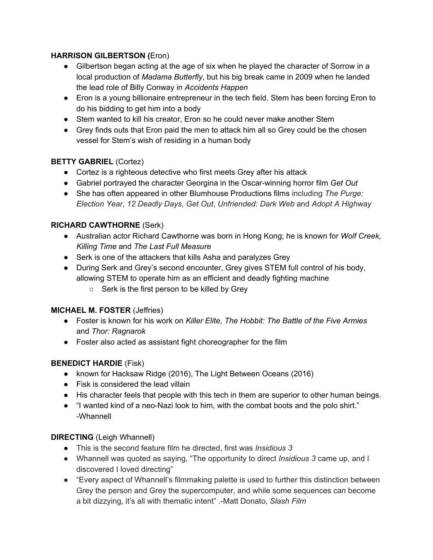### **HARRISON GILBERTSON (**Eron)

- Gilbertson began acting at the age of six when he played the character of Sorrow in a local production of *Madama Butterfly*, but his big break came in 2009 when he landed the lead role of Billy Conway in *Accidents Happen*
- Eron is a young billionaire entrepreneur in the tech field. Stem has been forcing Eron to do his bidding to get him into a body
- Stem wanted to kill his creator, Eron so he could never make another Stem
- Grey finds outs that Eron paid the men to attack him all so Grey could be the chosen vessel for Stem's wish of residing in a human body

## **BETTY GABRIEL** (Cortez)

- Cortez is a righteous detective who first meets Grey after his attack
- Gabriel portrayed the character Georgina in the Oscar-winning horror film *Get Out*
- She has often appeared in other Blumhouse Productions films including *The Purge: Election Year*, *12 Deadly Days*, *Get Out*, *Unfriended: Dark Web* and *Adopt A Highway*

### **RICHARD CAWTHORNE** (Serk)

- Australian actor Richard Cawthorne was born in Hong Kong; he is known for *Wolf Creek, Killing Time* and *The Last Full Measure*
- Serk is one of the attackers that kills Asha and paralyzes Grey
- During Serk and Grey's second encounter, Grey gives STEM full control of his body, allowing STEM to operate him as an efficient and deadly fighting machine
	- Serk is the first person to be killed by Grey

#### **MICHAEL M. FOSTER** (Jeffries)

- Foster is known for his work on *Killer Elite, The Hobbit: The Battle of the Five Armies* and *Thor: Ragnarok*
- Foster also acted as assistant fight choreographer for the film

#### **BENEDICT HARDIE** (Fisk)

- known for Hacksaw Ridge (2016), The Light Between Oceans (2016)
- Fisk is considered the lead villain
- His character feels that people with this tech in them are superior to other human beings.
- "I wanted kind of a neo-Nazi look to him, with the combat boots and the polo shirt." -Whannell

#### **DIRECTING** (Leigh Whannell)

- This is the second feature film he directed, first was *Insidious 3*
- Whannell was quoted as saying, "The opportunity to direct *Insidious 3* came up, and I discovered I loved directing"
- "Every aspect of Whannell's filmmaking palette is used to further this distinction between Grey the person and Grey the supercomputer, and while some sequences can become a bit dizzying, it's all with thematic intent" .-Matt Donato, *Slash Film*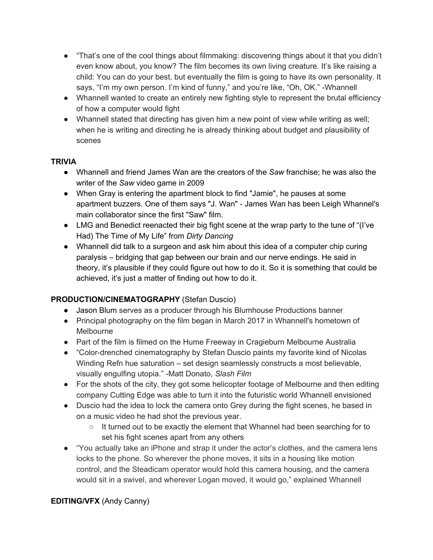- "That's one of the cool things about filmmaking: discovering things about it that you didn't even know about, you know? The film becomes its own living creature. It's like raising a child: You can do your best, but eventually the film is going to have its own personality. It says, "I'm my own person. I'm kind of funny," and you're like, "Oh, OK." -Whannell
- Whannell wanted to create an entirely new fighting style to represent the brutal efficiency of how a computer would fight
- Whannell stated that directing has given him a new point of view while writing as well; when he is writing and directing he is already thinking about budget and plausibility of scenes

### **TRIVIA**

- Whannell and friend James Wan are the creators of the *Saw* franchise; he was also the writer of the *Saw* video game in 2009
- When Gray is entering the apartment block to find "Jamie", he pauses at some apartment buzzers. One of them says "J. Wan" - James Wan has been Leigh Whannel's main collaborator since the first "Saw" film.
- LMG and Benedict reenacted their big fight scene at the wrap party to the tune of "(I've Had) The Time of My Life" from *Dirty Dancing*
- Whannell did talk to a surgeon and ask him about this idea of a computer chip curing paralysis – bridging that gap between our brain and our nerve endings. He said in theory, it's plausible if they could figure out how to do it. So it is something that could be achieved, it's just a matter of finding out how to do it.

## **PRODUCTION/CINEMATOGRAPHY** (Stefan Duscio)

- Jason Blum serves as a producer through his Blumhouse Productions banner
- Principal photography on the film began in March 2017 in Whannell's hometown of Melbourne
- Part of the film is filmed on the Hume Freeway in Cragieburn Melbourne Australia
- "Color-drenched cinematography by Stefan Duscio paints my favorite kind of Nicolas Winding Refn hue saturation – set design seamlessly constructs a most believable, visually engulfing utopia." -Matt Donato, *Slash Film*
- For the shots of the city, they got some helicopter footage of Melbourne and then editing company Cutting Edge was able to turn it into the futuristic world Whannell envisioned
- Duscio had the idea to lock the camera onto Grey during the fight scenes, he based in on a music video he had shot the previous year.
	- $\circ$  It turned out to be exactly the element that Whannel had been searching for to set his fight scenes apart from any others
- "You actually take an iPhone and strap it under the actor's clothes, and the camera lens locks to the phone. So wherever the phone moves, it sits in a housing like motion control, and the Steadicam operator would hold this camera housing, and the camera would sit in a swivel, and wherever Logan moved, it would go," explained Whannell

# **EDITING/VFX** (Andy Canny)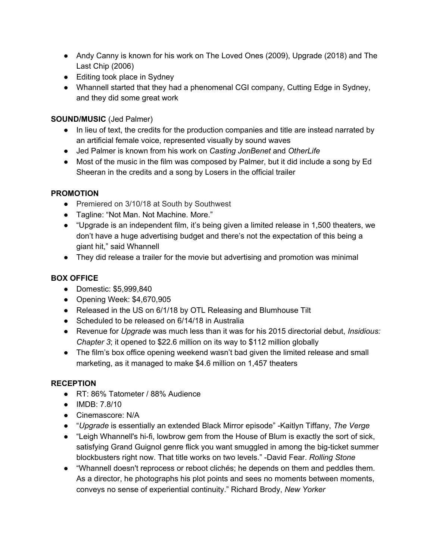- Andy Canny is known for his work on The Loved Ones (2009), Upgrade (2018) and The Last Chip (2006)
- Editing took place in Sydney
- Whannell started that they had a phenomenal CGI company, Cutting Edge in Sydney, and they did some great work

## **SOUND/MUSIC** (Jed Palmer)

- In lieu of text, the credits for the production companies and title are instead narrated by an artificial female voice, represented visually by sound waves
- Jed Palmer is known from his work on *Casting JonBenet* and *OtherLife*
- Most of the music in the film was composed by Palmer, but it did include a song by Ed Sheeran in the credits and a song by Losers in the official trailer

## **PROMOTION**

- Premiered on 3/10/18 at South by Southwest
- Tagline: "Not Man. Not Machine. More."
- "Upgrade is an independent film, it's being given a limited release in 1,500 theaters, we don't have a huge advertising budget and there's not the expectation of this being a giant hit," said Whannell
- They did release a trailer for the movie but advertising and promotion was minimal

# **BOX OFFICE**

- **●** Domestic: \$5,999,840
- Opening Week: \$4,670,905
- Released in the US on 6/1/18 by OTL Releasing and Blumhouse Tilt
- Scheduled to be released on 6/14/18 in Australia
- Revenue for *Upgrade* was much less than it was for his 2015 directorial debut, *Insidious: Chapter 3*; it opened to \$22.6 million on its way to \$112 million globally
- The film's box office opening weekend wasn't bad given the limited release and small marketing, as it managed to make \$4.6 million on 1,457 theaters

## **RECEPTION**

- RT: 86% Tatometer / 88% Audience
- IMDB: 7.8/10
- Cinemascore: N/A
- "*Upgrade* is essentially an extended Black Mirror episode" -Kaitlyn Tiffany, *The Verge*
- "Leigh Whannell's hi-fi, lowbrow gem from the House of Blum is exactly the sort of sick, satisfying Grand Guignol genre flick you want smuggled in among the big-ticket summer blockbusters right now. That title works on two levels." -David Fear. *Rolling Stone*
- "Whannell doesn't reprocess or reboot clichés; he depends on them and peddles them. As a director, he photographs his plot points and sees no moments between moments, conveys no sense of experiential continuity." Richard Brody, *New Yorker*